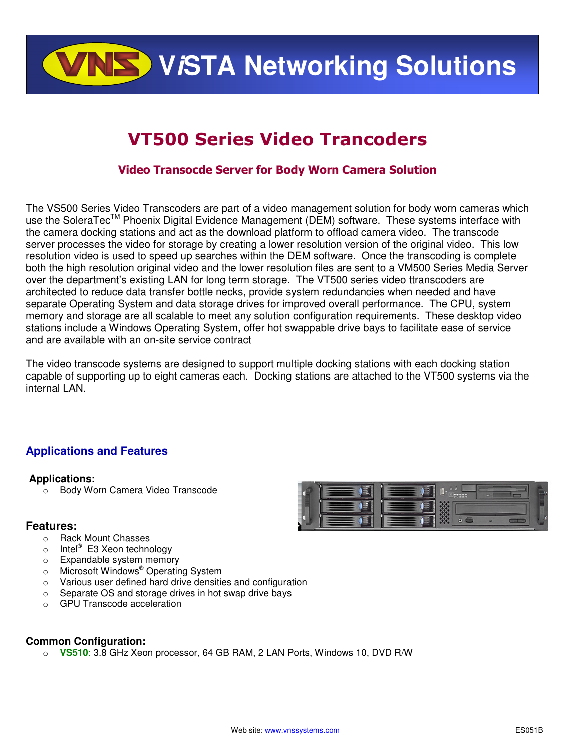**VISTA Networking Solutions** 

## VT500 Series Video Trancoders

#### Video Transocde Server for Body Worn Camera Solution

The VS500 Series Video Transcoders are part of a video management solution for body worn cameras which use the SoleraTec<sup>™</sup> Phoenix Digital Evidence Management (DEM) software. These systems interface with the camera docking stations and act as the download platform to offload camera video. The transcode server processes the video for storage by creating a lower resolution version of the original video. This low resolution video is used to speed up searches within the DEM software. Once the transcoding is complete both the high resolution original video and the lower resolution files are sent to a VM500 Series Media Server over the department's existing LAN for long term storage. The VT500 series video ttranscoders are architected to reduce data transfer bottle necks, provide system redundancies when needed and have separate Operating System and data storage drives for improved overall performance. The CPU, system memory and storage are all scalable to meet any solution configuration requirements. These desktop video stations include a Windows Operating System, offer hot swappable drive bays to facilitate ease of service and are available with an on-site service contract

The video transcode systems are designed to support multiple docking stations with each docking station capable of supporting up to eight cameras each. Docking stations are attached to the VT500 systems via the internal LAN.

#### **Applications and Features**

#### **Applications:**

o Body Worn Camera Video Transcode

#### **Features:**

- o Rack Mount Chasses
- o Intel<sup>®</sup> E3 Xeon technology
- o Expandable system memory
- o Microsoft Windows<sup>®</sup> Operating System
- o Various user defined hard drive densities and configuration
- o Separate OS and storage drives in hot swap drive bays
- o GPU Transcode acceleration

#### **Common Configuration:**

o **VS510**: 3.8 GHz Xeon processor, 64 GB RAM, 2 LAN Ports, Windows 10, DVD R/W

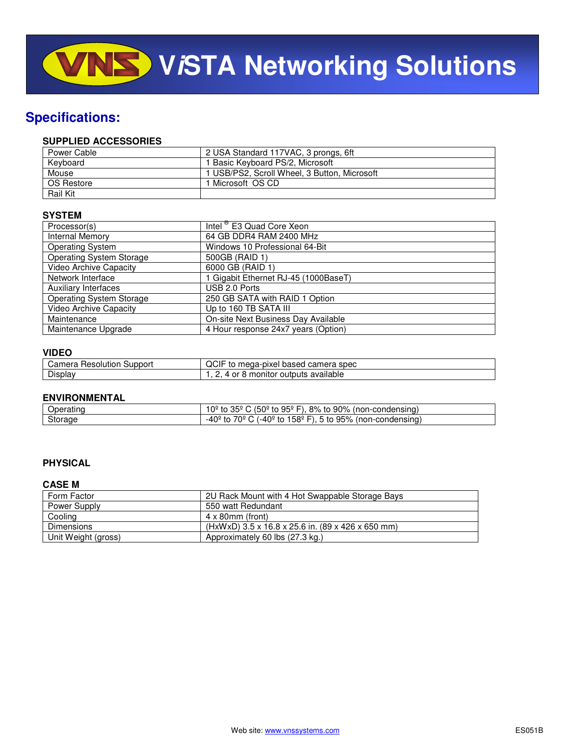### **Specifications:**

#### **SUPPLIED ACCESSORIES**

| Power Cable     | 2 USA Standard 117VAC, 3 prongs, 6ft         |
|-----------------|----------------------------------------------|
| Keyboard        | 1 Basic Keyboard PS/2, Microsoft             |
| Mouse           | 1 USB/PS2, Scroll Wheel, 3 Button, Microsoft |
| OS Restore      | 1 Microsoft OS CD                            |
| <b>Rail Kit</b> |                                              |

#### **SYSTEM**

| Processor(s)                    | Intel <sup>®</sup> E3 Quad Core Xeon |
|---------------------------------|--------------------------------------|
| Internal Memory                 | 64 GB DDR4 RAM 2400 MHz              |
| <b>Operating System</b>         | Windows 10 Professional 64-Bit       |
| <b>Operating System Storage</b> | 500GB (RAID 1)                       |
| <b>Video Archive Capacity</b>   | 6000 GB (RAID 1)                     |
| Network Interface               | Gigabit Ethernet RJ-45 (1000BaseT)   |
| Auxiliary Interfaces            | USB 2.0 Ports                        |
| <b>Operating System Storage</b> | 250 GB SATA with RAID 1 Option       |
| Video Archive Capacity          | Up to 160 TB SATA III                |
| Maintenance                     | On-site Next Business Day Available  |
| Maintenance Upgrade             | 4 Hour response 24x7 years (Option)  |

#### **VIDEO**

| Camera<br>Support<br>: Resolution | $\sim$<br>camera<br>mega-pixel<br>spec<br>based<br>ال .<br>το<br>◡⊩ |
|-----------------------------------|---------------------------------------------------------------------|
| $- \cdot$<br>Display              | available<br>.nonitor<br>outputs<br>--                              |

#### **ENVIRONMENTAL**

| -------<br>Operatınd | $\sim$ $\sim$ $\sim$<br>$(50^{\circ}$<br>90%<br>8%<br>$95^{\circ}$ F)<br>ついし<br>condensing)<br>non-c<br>to.<br>to<br>≅וו<br>τOΞ<br>u. |
|----------------------|---------------------------------------------------------------------------------------------------------------------------------------|
| Storage              | 95%<br>158º<br>70º<br>∘40∍،<br>(non-condensing)<br>to<br>to<br>to<br>$\mathsf{L}$<br>-4u<br>. .                                       |

#### **PHYSICAL**

#### **CASE M**

| Form Factor         | 2U Rack Mount with 4 Hot Swappable Storage Bays   |
|---------------------|---------------------------------------------------|
| Power Supply        | 550 watt Redundant                                |
| Cooling             | $4 \times 80$ mm (front)                          |
| Dimensions          | (HxWxD) 3.5 x 16.8 x 25.6 in. (89 x 426 x 650 mm) |
| Unit Weight (gross) | Approximately 60 lbs (27.3 kg.)                   |